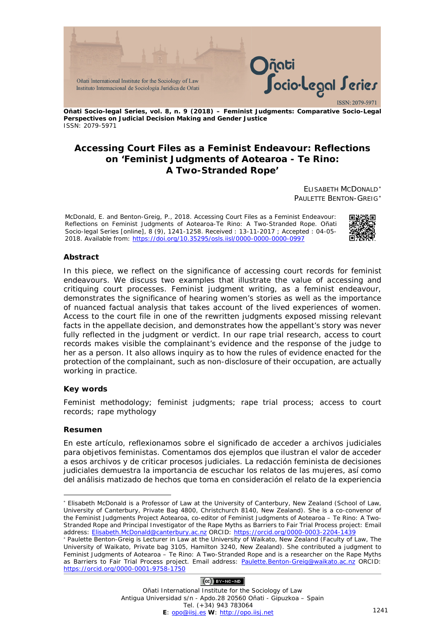

**Oñati Socio-legal Series, vol. 8, n. 9 (2018) – Feminist Judgments: Comparative Socio-Legal Perspectives on Judicial Decision Making and Gender Justice** ISSN: 2079-5971

## **Accessing Court Files as a Feminist Endeavour: Reflections on 'Feminist Judgments of Aotearoa - Te Rino: A Two-Stranded Rope'**

ELISABETH MCDONALD[∗](#page-0-0) PAULETTE BENTON-GREIG[∗](#page-0-1)

McDonald, E. and Benton-Greig, P., 2018. Accessing Court Files as a Feminist Endeavour: Reflections on *Feminist Judgments of Aotearoa-Te Rino: A Two-Stranded Rope*. *Oñati Socio-legal Series* [online], 8 (9), 1241-1258. Received : 13-11-2017 ; Accepted : 04-05- 2018. Available from: https://doi.org/10.35295/osls.iisl/0000-0000-0000-0997



## **Abstract**

In this piece, we reflect on the significance of accessing court records for feminist endeavours. We discuss two examples that illustrate the value of accessing and critiquing court processes. Feminist judgment writing, as a feminist endeavour, demonstrates the significance of hearing women's stories as well as the importance of nuanced factual analysis that takes account of the lived experiences of women. Access to the court file in one of the rewritten judgments exposed missing relevant facts in the appellate decision, and demonstrates how the appellant's story was never fully reflected in the judgment or verdict. In our rape trial research, access to court records makes visible the complainant's evidence and the response of the judge to her as a person. It also allows inquiry as to how the rules of evidence enacted for the protection of the complainant, such as non-disclosure of their occupation, are actually working in practice.

## **Key words**

Feminist methodology; feminist judgments; rape trial process; access to court records; rape mythology

#### **Resumen**

<u>.</u>

En este artículo, reflexionamos sobre el significado de acceder a archivos judiciales para objetivos feministas. Comentamos dos ejemplos que ilustran el valor de acceder a esos archivos y de criticar procesos judiciales. La redacción feminista de decisiones judiciales demuestra la importancia de escuchar los relatos de las mujeres, así como del análisis matizado de hechos que toma en consideración el relato de la experiencia

## $(Ce)$  BY-NC-ND

<span id="page-0-0"></span><sup>∗</sup> Elisabeth McDonald is a Professor of Law at the University of Canterbury, New Zealand (School of Law, University of Canterbury, Private Bag 4800, Christchurch 8140, New Zealand). She is a co-convenor of the Feminist Judgments Project Aotearoa, co-editor of *Feminist Judgments of Aotearoa – Te Rino: A Two-Stranded Rope* and Principal Investigator of the Rape Myths as Barriers to Fair Trial Process project: Email address: [Elisabeth.McDonald@canterbury.ac.nz](mailto:Elisabeth.McDonald@canterbury.ac.nz) ORCID:<https://orcid.org/0000-0003-2204-1439>

<span id="page-0-1"></span><sup>∗</sup> Paulette Benton-Greig is Lecturer in Law at the University of Waikato, New Zealand (Faculty of Law, The University of Waikato, Private bag 3105, Hamilton 3240, New Zealand). She contributed a judgment to *Feminist Judgments of Aotearoa – Te Rino: A Two-Stranded Rope* and is a researcher on the Rape Myths as Barriers to Fair Trial Process project. Email address: Paulette.Benton-Greig@waikato.ac.nz ORCID: <https://orcid.org/0000-0001-9758-1750>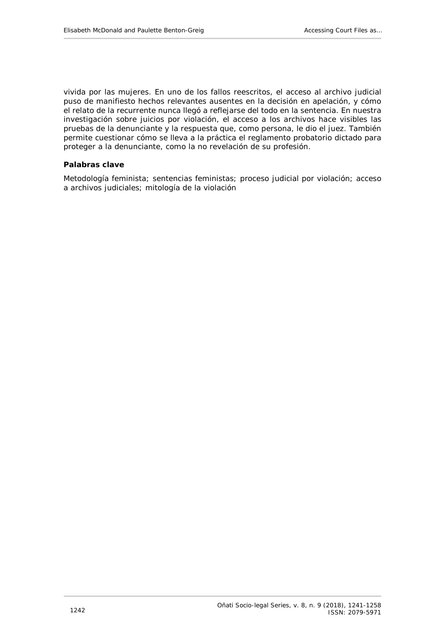vivida por las mujeres. En uno de los fallos reescritos, el acceso al archivo judicial puso de manifiesto hechos relevantes ausentes en la decisión en apelación, y cómo el relato de la recurrente nunca llegó a reflejarse del todo en la sentencia. En nuestra investigación sobre juicios por violación, el acceso a los archivos hace visibles las pruebas de la denunciante y la respuesta que, como persona, le dio el juez. También permite cuestionar cómo se lleva a la práctica el reglamento probatorio dictado para proteger a la denunciante, como la no revelación de su profesión.

## **Palabras clave**

Metodología feminista; sentencias feministas; proceso judicial por violación; acceso a archivos judiciales; mitología de la violación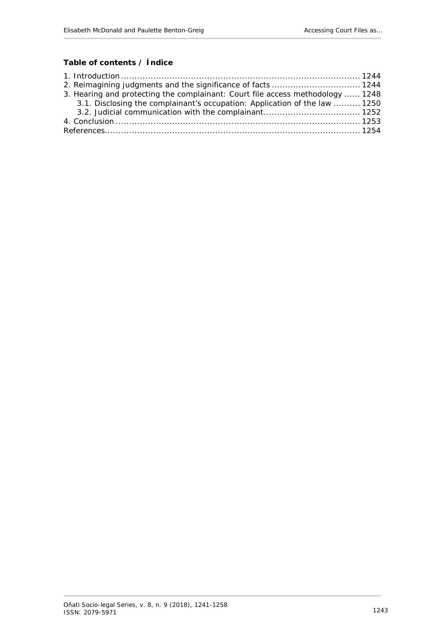# **Table of contents / Índice**

| 3. Hearing and protecting the complainant: Court file access methodology  1248 |  |
|--------------------------------------------------------------------------------|--|
| 3.1. Disclosing the complainant's occupation: Application of the law  1250     |  |
|                                                                                |  |
|                                                                                |  |
|                                                                                |  |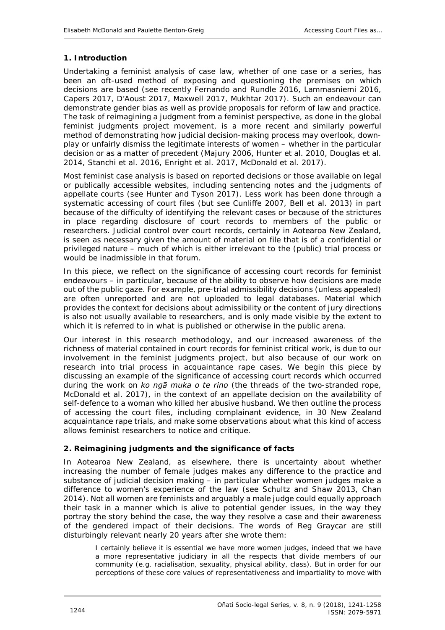## <span id="page-3-0"></span>**1. Introduction**

Undertaking a feminist analysis of case law, whether of one case or a series, has been an oft-used method of exposing and questioning the premises on which decisions are based (see recently Fernando and Rundle 2016, Lammasniemi 2016, Capers 2017, D'Aoust 2017, Maxwell 2017, Mukhtar 2017). Such an endeavour can demonstrate gender bias as well as provide proposals for reform of law and practice. The task of reimagining a judgment from a feminist perspective, as done in the global feminist judgments project movement, is a more recent and similarly powerful method of demonstrating how judicial decision-making process may overlook, downplay or unfairly dismiss the legitimate interests of women – whether in the particular decision or as a matter of precedent (Majury 2006, Hunter *et al*. 2010, Douglas *et al.* 2014, Stanchi *et al*. 2016, Enright *et al*. 2017, McDonald *et al*. 2017).

Most feminist case analysis is based on reported decisions or those available on legal or publically accessible websites, including sentencing notes and the judgments of appellate courts (see Hunter and Tyson 2017). Less work has been done through a systematic accessing of court files (but see Cunliffe 2007, Bell *et al.* 2013) in part because of the difficulty of identifying the relevant cases or because of the strictures in place regarding disclosure of court records to members of the public or researchers. Judicial control over court records, certainly in Aotearoa New Zealand, is seen as necessary given the amount of material on file that is of a confidential or privileged nature – much of which is either irrelevant to the (public) trial process or would be inadmissible in that forum.

In this piece, we reflect on the significance of accessing court records for feminist endeavours – in particular, because of the ability to observe how decisions are made out of the public gaze. For example, pre-trial admissibility decisions (unless appealed) are often unreported and are not uploaded to legal databases. Material which provides the context for decisions about admissibility or the content of jury directions is also not usually available to researchers, and is only made visible by the extent to which it is referred to in what is published or otherwise in the public arena.

Our interest in this research methodology, and our increased awareness of the richness of material contained in court records for feminist critical work, is due to our involvement in the feminist judgments project, but also because of our work on research into trial process in acquaintance rape cases. We begin this piece by discussing an example of the significance of accessing court records which occurred during the work on *ko ngā muka o te rino* (the threads of the two-stranded rope, McDonald *et al*. 2017), in the context of an appellate decision on the availability of self-defence to a woman who killed her abusive husband. We then outline the process of accessing the court files, including complainant evidence, in 30 New Zealand acquaintance rape trials, and make some observations about what this kind of access allows feminist researchers to notice and critique.

## <span id="page-3-1"></span>**2. Reimagining judgments and the significance of facts**

In Aotearoa New Zealand, as elsewhere, there is uncertainty about whether increasing the number of female judges makes any difference to the practice and substance of judicial decision making – in particular whether women judges make a difference to women's experience of the law (see Schultz and Shaw 2013, Chan 2014). Not all women are feminists and arguably a male judge could equally approach their task in a manner which is alive to potential gender issues, in the way they portray the story behind the case, the way they resolve a case and their awareness of the gendered impact of their decisions. The words of Reg Graycar are still disturbingly relevant nearly 20 years after she wrote them:

I certainly believe it is essential we have more women judges, indeed that we have a more representative judiciary in all the respects that divide members of our community (*e.g.* racialisation, sexuality, physical ability, class). But in order for our perceptions of these core values of representativeness and impartiality to move with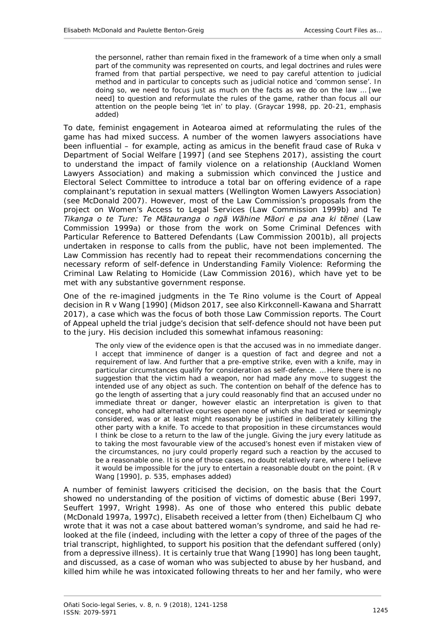the personnel, rather than remain fixed in the framework of a time when only a small part of the community was represented on courts, and legal doctrines and rules were framed from that partial perspective, we need to pay careful attention to judicial method and in particular to concepts such as judicial notice and 'common sense'. *In doing so, we need to focus just as much on the facts as we do on the law … [we need] to question and reformulate the rules of the game, rather than focus all our attention on the people being 'let in' to play*. (Graycar 1998, pp. 20-21, emphasis added)

To date, feminist engagement in Aotearoa aimed at *reformulating the rules of the game* has had mixed success. A number of the women lawyers associations have been influential – for example, acting as amicus in the benefit fraud case of *Ruka v Department of Social Welfare* [1997] (and see Stephens 2017), assisting the court to understand the impact of family violence on a relationship (Auckland Women Lawyers Association) and making a submission which convinced the Justice and Electoral Select Committee to introduce a total bar on offering evidence of a rape complainant's reputation in sexual matters (Wellington Women Lawyers Association) (see McDonald 2007). However, most of the Law Commission's proposals from the project on *Women's Access to Legal Services* (Law Commission 1999b) and *Te Tikanga o te Ture: Te Mātauranga o ngā Wāhine Māori e pa ana ki tēnei* (Law Commission 1999a) or those from the work on *Some Criminal Defences with Particular Reference to Battered Defendants* (Law Commission 2001b), all projects undertaken in response to calls from the public, have not been implemented. The Law Commission has recently had to repeat their recommendations concerning the necessary reform of self-defence in *Understanding Family Violence: Reforming the Criminal Law Relating to Homicide* (Law Commission 2016), which have yet to be met with any substantive government response.

One of the re-imagined judgments in the *Te Rino* volume is the Court of Appeal decision in *R v Wang* [1990] (Midson 2017, see also Kirkconnell-Kawana and Sharratt 2017), a case which was the focus of both those Law Commission reports. The Court of Appeal upheld the trial judge's decision that self-defence should not have been put to the jury. His decision included this somewhat infamous reasoning:

The only view of the evidence open is that the accused was in no immediate danger. I accept that imminence of danger is a question of fact and degree and not a requirement of law. And further that a pre-emptive strike, even with a knife, may in particular circumstances qualify for consideration as self-defence. … Here there is no suggestion that the victim had a weapon, nor had made any move to suggest the intended use of any object as such. The contention on behalf of the defence has to go the length of asserting that a jury could reasonably find that an accused under no immediate threat or danger, however elastic an interpretation is given to that concept, who had alternative courses open none of which she had tried or seemingly considered, was or at least might reasonably be justified in deliberately killing the other party with a knife. *To accede to that proposition in these circumstances would I think be close to a return to the law of the jungle.* Giving the jury every latitude as to taking the most favourable view of the accused's honest even if mistaken view of the circumstances, no jury could properly regard such a reaction by the accused to be a reasonable one. *It is one of those cases, no doubt relatively rare, where I believe it would be impossible for the jury to entertain a reasonable doubt on the point.* (*R v Wang* [1990], p. 535, emphases added)

A number of feminist lawyers criticised the decision, on the basis that the Court showed no understanding of the position of victims of domestic abuse (Beri 1997, Seuffert 1997, Wright 1998). As one of those who entered this public debate (McDonald 1997a, 1997c), Elisabeth received a letter from (then) Eichelbaum CJ who wrote that it was not a case about battered woman's syndrome, and said he had relooked at the file (indeed, including with the letter a copy of three of the pages of the trial transcript, highlighted, to support his position that the defendant suffered (only) from a depressive illness). It is certainly true that *Wang* [1990] has long been taught, and discussed, as a case of woman who was subjected to abuse by her husband, and killed him while he was intoxicated following threats to her and her family, who were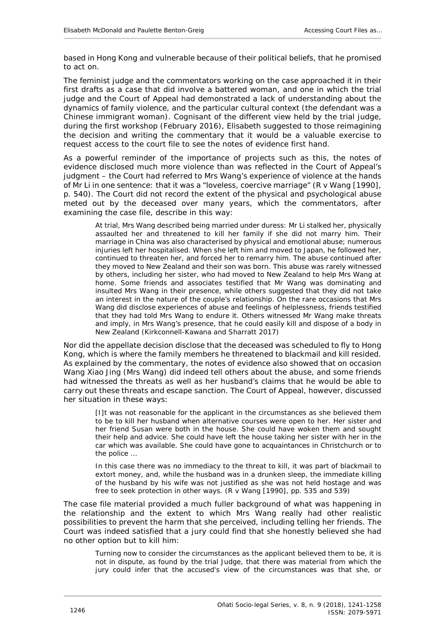based in Hong Kong and vulnerable because of their political beliefs, that he promised to act on.

The feminist judge and the commentators working on the case approached it in their first drafts as a case that did involve a *battered woman*, and one in which the trial judge and the Court of Appeal had demonstrated a lack of understanding about the dynamics of family violence, and the particular cultural context (the defendant was a Chinese immigrant woman). Cognisant of the different view held by the trial judge, during the first workshop (February 2016), Elisabeth suggested to those reimagining the decision and writing the commentary that it would be a valuable exercise to request access to the court file to see the notes of evidence first hand.

As a powerful reminder of the importance of projects such as this, the notes of evidence disclosed much more violence than was reflected in the Court of Appeal's judgment – the Court had referred to Mrs Wang's experience of violence at the hands of Mr Li in one sentence: that it was a "loveless, coercive marriage" (*R v Wang* [1990], p. 540). The Court did not record the extent of the physical and psychological abuse meted out by the deceased over many years, which the commentators, after examining the case file, describe in this way:

At trial, Mrs Wang described being married under duress: Mr Li stalked her, physically assaulted her and threatened to kill her family if she did not marry him. Their marriage in China was also characterised by physical and emotional abuse; numerous injuries left her hospitalised. When she left him and moved to Japan, he followed her, continued to threaten her, and forced her to remarry him. The abuse continued after they moved to New Zealand and their son was born. This abuse was rarely witnessed by others, including her sister, who had moved to New Zealand to help Mrs Wang at home. Some friends and associates testified that Mr Wang was dominating and insulted Mrs Wang in their presence, while others suggested that they did not take an interest in the nature of the couple's relationship. On the rare occasions that Mrs Wang did disclose experiences of abuse and feelings of helplessness, friends testified that they had told Mrs Wang to endure it. Others witnessed Mr Wang make threats and imply, in Mrs Wang's presence, that he could easily kill and dispose of a body in New Zealand (Kirkconnell-Kawana and Sharratt 2017)

Nor did the appellate decision disclose that the deceased was scheduled to fly to Hong Kong, which is where the family members he threatened to blackmail and kill resided. As explained by the commentary, the notes of evidence also showed that on occasion Wang Xiao Jing (Mrs Wang) did indeed tell others about the abuse, and some friends had witnessed the threats as well as her husband's claims that he would be able to carry out these threats and escape sanction. The Court of Appeal, however, discussed her situation in these ways:

[I]t was not reasonable for the applicant in the circumstances as she believed them to be to kill her husband when alternative courses were open to her. Her sister and her friend Susan were both in the house. She could have woken them and sought their help and advice. She could have left the house taking her sister with her in the car which was available. She could have gone to acquaintances in Christchurch or to the police …

In this case there was no immediacy to the threat to kill, it was part of blackmail to extort money, and, while the husband was in a drunken sleep, the immediate killing of the husband by his wife was not justified as she was not held hostage and was free to seek protection in other ways. (*R v Wang* [1990], pp. 535 and 539)

The case file material provided a much fuller background of what was happening in the relationship and the extent to which Mrs Wang really had other realistic possibilities to prevent the harm that she perceived, including telling her friends. The Court was indeed satisfied that a jury could find that she honestly believed she had no other option but to kill him:

Turning now to consider the circumstances as the applicant believed them to be, it is not in dispute, as found by the trial Judge, that there was material from which the jury could infer that the accused's view of the circumstances was that she, or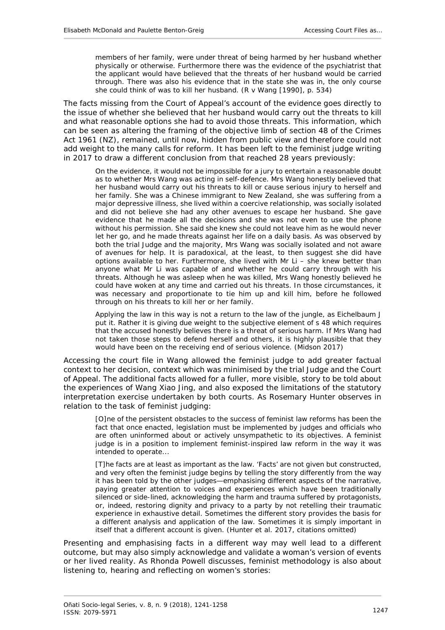members of her family, were under threat of being harmed by her husband whether physically or otherwise. Furthermore there was the evidence of the psychiatrist that the applicant would have believed that the threats of her husband would be carried through. There was also his evidence that in the state she was in, the only course she could think of was to kill her husband. (*R v Wang* [1990], p. 534)

The facts *missing* from the Court of Appeal's account of the evidence goes directly to the issue of whether she believed that her husband would carry out the threats to kill and what reasonable options she had to avoid those threats. This information, which can be seen as altering the framing of the objective limb of section 48 of the Crimes Act 1961 (NZ), remained, until now, hidden from public view and therefore could not add weight to the many calls for reform. It has been left to the feminist judge writing in 2017 to draw a different conclusion from that reached 28 years previously:

On the evidence, it would not be impossible for a jury to entertain a reasonable doubt as to whether Mrs Wang was acting in self-defence. Mrs Wang honestly believed that her husband would carry out his threats to kill or cause serious injury to herself and her family. She was a Chinese immigrant to New Zealand, she was suffering from a major depressive illness, she lived within a coercive relationship, was socially isolated and did not believe she had any other avenues to escape her husband. She gave evidence that he made all the decisions and she was not even to use the phone without his permission. She said she knew she could not leave him as he would never let her go, and he made threats against her life on a daily basis. As was observed by both the trial Judge and the majority, Mrs Wang was socially isolated and not aware of avenues for help. It is paradoxical, at the least, to then suggest she did have options available to her. Furthermore, she lived with Mr Li – she knew better than anyone what Mr Li was capable of and whether he could carry through with his threats. Although he was asleep when he was killed, Mrs Wang honestly believed he could have woken at any time and carried out his threats. In those circumstances, it was necessary and proportionate to tie him up and kill him, before he followed through on his threats to kill her or her family.

Applying the law in this way is not a return to the law of the jungle, as Eichelbaum J put it. Rather it is giving due weight to the subjective element of s 48 which requires that the accused honestly believes there is a threat of serious harm. If Mrs Wang had not taken those steps to defend herself and others, it is highly plausible that they would have been on the receiving end of serious violence. (Midson 2017)

Accessing the court file in *Wang* allowed the feminist judge to add greater factual context to her decision, context which was minimised by the trial Judge and the Court of Appeal. The additional facts allowed for a fuller, more visible, story to be told about the experiences of Wang Xiao Jing, and also exposed the limitations of the statutory interpretation exercise undertaken by both courts. As Rosemary Hunter observes in relation to the task of feminist judging:

[O]ne of the persistent obstacles to the success of feminist law reforms has been the fact that once enacted, legislation must be implemented by judges and officials who are often uninformed about or actively unsympathetic to its objectives. A feminist judge is in a position to implement feminist-inspired law reform in the way it was intended to operate...

[T]he facts are at least as important as the law. 'Facts' are not given but constructed, and very often the feminist judge begins by telling the story differently from the way it has been told by the other judges—emphasising different aspects of the narrative, paying greater attention to voices and experiences which have been traditionally silenced or side-lined, acknowledging the harm and trauma suffered by protagonists, or, indeed, restoring dignity and privacy to a party by not retelling their traumatic experience in exhaustive detail. Sometimes the different story provides the basis for a different analysis and application of the law. Sometimes it is simply important in itself that a different account is given. (Hunter *et al*. 2017, citations omitted)

Presenting and emphasising facts in a different way may well lead to a different outcome, but may also simply acknowledge and validate a woman's version of events or her lived reality. As Rhonda Powell discusses, feminist methodology is also about listening to, hearing and reflecting on women's stories: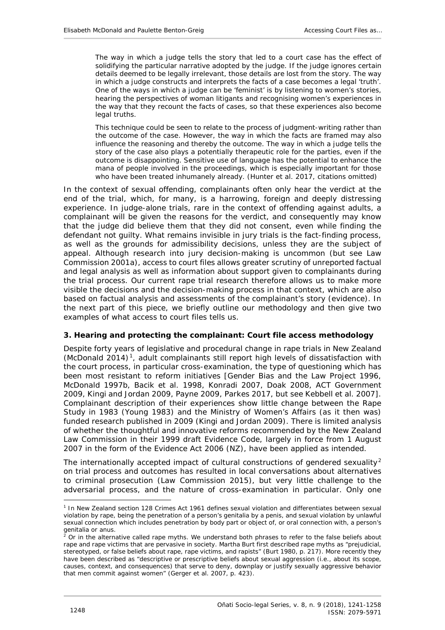The way in which a judge tells the story that led to a court case has the effect of solidifying the particular narrative adopted by the judge. If the judge ignores certain details deemed to be legally irrelevant, those details are lost from the story. The way in which a judge constructs and interprets the facts of a case becomes a legal 'truth'. One of the ways in which a judge can be 'feminist' is by listening to women's stories, hearing the perspectives of woman litigants and recognising women's experiences in the way that they recount the facts of cases, so that these experiences also become legal truths.

This technique could be seen to relate to the process of judgment-writing rather than the outcome of the case. However, the way in which the facts are framed may also influence the reasoning and thereby the outcome. The way in which a judge tells the story of the case also plays a potentially therapeutic role for the parties, even if the outcome is disappointing. Sensitive use of language has the potential to enhance the mana of people involved in the proceedings, which is especially important for those who have been treated inhumanely already. (Hunter *et al*. 2017, citations omitted)

In the context of sexual offending, complainants often only hear the verdict at the end of the trial, which, for many, is a harrowing, foreign and deeply distressing experience. In judge-alone trials, rare in the context of offending against adults, a complainant will be given the reasons for the verdict, and consequently may know that the judge did believe them that they did not consent, even while finding the defendant not guilty. What remains invisible in jury trials is the fact-finding process, as well as the grounds for admissibility decisions, unless they are the subject of appeal. Although research into jury decision-making is uncommon (but see Law Commission 2001a), access to court files allows greater scrutiny of unreported factual and legal analysis as well as information about support given to complainants during the trial process. Our current rape trial research therefore allows us to make more visible the decisions and the decision-making process in that context, which are also based on factual analysis and assessments of the complainant's story (evidence). In the next part of this piece, we briefly outline our methodology and then give two examples of what access to court files tells us.

## <span id="page-7-0"></span>**3. Hearing and protecting the complainant: Court file access methodology**

Despite forty years of legislative and procedural change in rape trials in New Zealand (McDonald 2014) [1,](#page-7-1) adult complainants still report high levels of dissatisfaction with the court process, in particular cross-examination, the type of questioning which has been most resistant to reform initiatives [Gender Bias and the Law Project 1996, McDonald 1997b, Bacik *et al.* 1998, Konradi 2007, Doak 2008, ACT Government 2009, Kingi and Jordan 2009, Payne 2009, Parkes 2017, but see Kebbell *et al.* 2007]. Complainant description of their experiences show little change between the Rape Study in 1983 (Young 1983) and the Ministry of Women's Affairs (as it then was) funded research published in 2009 (Kingi and Jordan 2009). There is limited analysis of whether the thoughtful and innovative reforms recommended by the New Zealand Law Commission in their 1999 draft Evidence Code, largely in force from 1 August 2007 in the form of the Evidence Act 2006 (NZ), have been applied as intended.

The internationally accepted impact of cultural constructions of gendered sexuality<sup>[2](#page-7-2)</sup> on trial process and outcomes has resulted in local conversations about alternatives to criminal prosecution (Law Commission 2015), but very little challenge to the adversarial process, and the nature of cross-examination in particular. Only one

-

<span id="page-7-1"></span><sup>1</sup> In New Zealand section 128 Crimes Act 1961 defines sexual violation and differentiates between sexual violation by rape, being the penetration of a person's genitalia by a penis, and sexual violation by unlawful sexual connection which includes penetration by body part or object of, or oral connection with, a person's genitalia or anus.

<span id="page-7-2"></span><sup>2</sup> Or in the alternative called *rape myths*. We understand both phrases to refer to the false beliefs about rape and rape victims that are pervasive in society. Martha Burt first described rape myths as "prejudicial, stereotyped, or false beliefs about rape, rape victims, and rapists" (Burt 1980, p. 217). More recently they have been described as "descriptive or prescriptive beliefs about sexual aggression (i.e., about its scope, causes, context, and consequences) that serve to deny, downplay or justify sexually aggressive behavior that men commit against women" (Gerger *et al.* 2007, p. 423).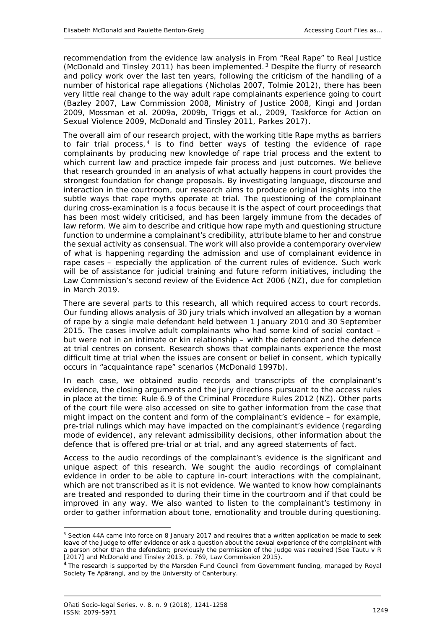recommendation from the evidence law analysis in *From "Real Rape" to Real Justice*  (McDonald and Tinsley 2011) has been implemented. [3](#page-8-0) Despite the flurry of research and policy work over the last ten years, following the criticism of the handling of a number of historical rape allegations (Nicholas 2007, Tolmie 2012), there has been very little real change to the way adult rape complainants experience going to court (Bazley 2007, Law Commission 2008, Ministry of Justice 2008, Kingi and Jordan 2009, Mossman *et al*. 2009a, 2009b, Triggs *et al*., 2009, Taskforce for Action on Sexual Violence 2009, McDonald and Tinsley 2011, Parkes 2017).

The overall aim of our research project, with the working title *Rape myths as barriers to fair trial process*, [4](#page-8-1) is to find better ways of testing the evidence of rape complainants by producing new knowledge of rape trial process and the extent to which current law and practice impede fair process and just outcomes. We believe that research grounded in an analysis of what actually happens in court provides the strongest foundation for change proposals. By investigating language, discourse and interaction in the courtroom, our research aims to produce original insights into the subtle ways that rape myths operate at trial. The questioning of the complainant during cross-examination is a focus because it is the aspect of court proceedings that has been most widely criticised, and has been largely immune from the decades of law reform. We aim to describe and critique how rape myth and questioning structure function to undermine a complainant's credibility, attribute blame to her and construe the sexual activity as consensual. The work will also provide a contemporary overview of what is happening regarding the admission and use of complainant evidence in rape cases – especially the application of the current rules of evidence. Such work will be of assistance for judicial training and future reform initiatives, including the Law Commission's second review of the Evidence Act 2006 (NZ), due for completion in March 2019.

There are several parts to this research, all which required access to court records. Our funding allows analysis of 30 jury trials which involved an allegation by a woman of rape by a single male defendant held between 1 January 2010 and 30 September 2015. The cases involve adult complainants who had some kind of social contact – but were not in an intimate or kin relationship – with the defendant and the defence at trial centres on consent. Research shows that complainants experience the most difficult time at trial when the issues are consent or belief in consent, which typically occurs in "acquaintance rape" scenarios (McDonald 1997b).

In each case, we obtained audio records and transcripts of the complainant's evidence, the closing arguments and the jury directions pursuant to the access rules in place at the time: Rule 6.9 of the Criminal Procedure Rules 2012 (NZ). Other parts of the court file were also accessed on site to gather information from the case that might impact on the content and form of the complainant's evidence – for example, pre-trial rulings which may have impacted on the complainant's evidence (regarding mode of evidence), any relevant admissibility decisions, other information about the defence that is offered pre-trial or at trial, and any agreed statements of fact.

Access to the audio recordings of the complainant's evidence is the significant and unique aspect of this research. We sought the audio recordings of complainant evidence in order to be able to capture in-court interactions with the complainant, which are not transcribed as it is not *evidence*. We wanted to know how complainants are treated and responded to during their time in the courtroom and if that could be improved in any way. We also wanted to listen to the complainant's testimony in order to gather information about tone, emotionality and *trouble* during questioning.

-

<span id="page-8-0"></span><sup>&</sup>lt;sup>3</sup> Section 44A came into force on 8 January 2017 and requires that a written application be made to seek leave of the Judge to offer evidence or ask a question about the sexual experience of the complainant with a person other than the defendant; previously the permission of the Judge was required (See *Tautu v R* [2017] and McDonald and Tinsley 2013, p. 769, Law Commission 2015).

<span id="page-8-1"></span><sup>&</sup>lt;sup>4</sup> The research is supported by the Marsden Fund Council from Government funding, managed by Royal Society Te Apārangi, and by the University of Canterbury.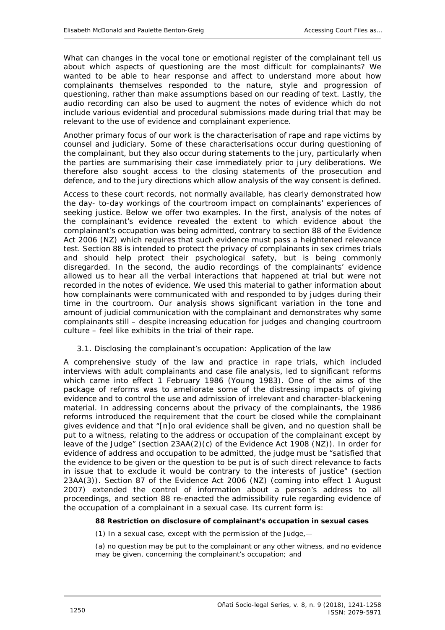What can changes in the vocal tone or emotional register of the complainant tell us about which aspects of questioning are the most difficult for complainants? We wanted to be able to hear response and affect to understand more about how complainants themselves responded to the nature, style and progression of questioning, rather than make assumptions based on our reading of text. Lastly, the audio recording can also be used to augment the notes of evidence which do not include various evidential and procedural submissions made during trial that may be relevant to the use of evidence and complainant experience.

Another primary focus of our work is the characterisation of rape and rape victims by counsel and judiciary. Some of these characterisations occur during questioning of the complainant, but they also occur during statements to the jury, particularly when the parties are summarising their case immediately prior to jury deliberations. We therefore also sought access to the closing statements of the prosecution and defence, and to the jury directions which allow analysis of the way consent is defined.

Access to these court records, not normally available, has clearly demonstrated how the day- to-day workings of the courtroom impact on complainants' experiences of seeking justice. Below we offer two examples. In the first, analysis of the notes of the complainant's evidence revealed the extent to which evidence about the complainant's occupation was being admitted, contrary to section 88 of the Evidence Act 2006 (NZ) which requires that such evidence must pass a heightened relevance test. Section 88 is intended to protect the privacy of complainants in sex crimes trials and should help protect their psychological safety, but is being commonly disregarded. In the second, the audio recordings of the complainants' evidence allowed us to hear all the verbal interactions that happened at trial but were not recorded in the notes of evidence. We used this material to gather information about how complainants were communicated with and responded to by judges during their time in the courtroom. Our analysis shows significant variation in the tone and amount of judicial communication with the complainant and demonstrates why some complainants still – despite increasing education for judges and changing courtroom culture – feel like exhibits in the trial of their rape.

## <span id="page-9-0"></span>*3.1. Disclosing the complainant's occupation: Application of the law*

A comprehensive study of the law and practice in rape trials, which included interviews with adult complainants and case file analysis, led to significant reforms which came into effect 1 February 1986 (Young 1983). One of the aims of the package of reforms was to ameliorate some of the distressing impacts of giving evidence and to control the use and admission of irrelevant and character-blackening material. In addressing concerns about the privacy of the complainants, the 1986 reforms introduced the requirement that the court be closed while the complainant gives evidence and that "[n]o oral evidence shall be given, and no question shall be put to a witness, relating to the address or occupation of the complainant except by leave of the Judge" (section 23AA(2)(c) of the Evidence Act 1908 (NZ)). In order for evidence of address and occupation to be admitted, the judge must be "satisfied that the evidence to be given or the question to be put is of such direct relevance to facts in issue that to exclude it would be contrary to the interests of justice" (section 23AA(3)). Section 87 of the Evidence Act 2006 (NZ) (coming into effect 1 August 2007) extended the control of information about a person's address to all proceedings, and section 88 re-enacted the admissibility rule regarding evidence of the occupation of a complainant in a sexual case. Its current form is:

#### **88 Restriction on disclosure of complainant's occupation in sexual cases**

(1) In a sexual case, except with the permission of the Judge,—

(a) no question may be put to the complainant or any other witness, and no evidence may be given, concerning the complainant's occupation; and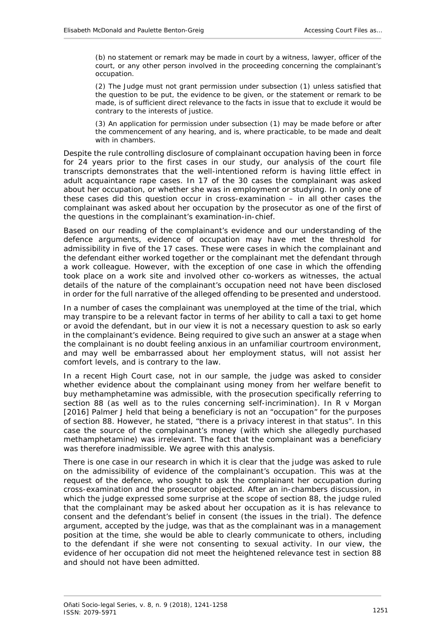(b) no statement or remark may be made in court by a witness, lawyer, officer of the court, or any other person involved in the proceeding concerning the complainant's occupation.

(2) The Judge must not grant permission under subsection [\(1\)](https://www-westlaw-co-nz.ezproxy.canterbury.ac.nz/maf/wlnz/app/document?docguid=Idbd1f5f5e12311e08eefa443f89988a0&&src=rl&hitguid=Ifc5639c1e03611e08eefa443f89988a0&snippets=true&startChunk=1&endChunk=1&isTocNav=true&tocDs=AUNZ_NZ_LEGCOMM_TOC#anchor_Ifc5639c1e03611e08eefa443f89988a0) unless satisfied that the question to be put, the evidence to be given, or the statement or remark to be made, is of sufficient direct relevance to the facts in issue that to exclude it would be contrary to the interests of justice.

(3) An application for permission under subsection [\(1\)](https://www-westlaw-co-nz.ezproxy.canterbury.ac.nz/maf/wlnz/app/document?docguid=Idbd1f5f5e12311e08eefa443f89988a0&&src=rl&hitguid=Ifc5639c1e03611e08eefa443f89988a0&snippets=true&startChunk=1&endChunk=1&isTocNav=true&tocDs=AUNZ_NZ_LEGCOMM_TOC#anchor_Ifc5639c1e03611e08eefa443f89988a0) may be made before or after the commencement of any hearing, and is, where practicable, to be made and dealt with in chambers.

Despite the rule controlling disclosure of complainant occupation having been in force for 24 years prior to the first cases in our study, our analysis of the court file transcripts demonstrates that the well-intentioned reform is having little effect in adult acquaintance rape cases. In 17 of the 30 cases the complainant was asked about her occupation, or whether she was in employment or studying. In only one of these cases did this question occur in cross-examination – in all other cases the complainant was asked about her occupation by the prosecutor as one of the first of the questions in the complainant's examination-in-chief.

Based on our reading of the complainant's evidence and our understanding of the defence arguments, evidence of occupation may have met the threshold for admissibility in five of the 17 cases. These were cases in which the complainant and the defendant either worked together or the complainant met the defendant through a work colleague. However, with the exception of one case in which the offending took place on a work site and involved other co-workers as witnesses, the actual details of the nature of the complainant's occupation need not have been disclosed in order for the full narrative of the alleged offending to be presented and understood.

In a number of cases the complainant was unemployed at the time of the trial, which may transpire to be a relevant factor in terms of her ability to call a taxi to get home or avoid the defendant, but in our view it is not a necessary question to ask so early in the complainant's evidence. Being required to give such an answer at a stage when the complainant is no doubt feeling anxious in an unfamiliar courtroom environment, and may well be embarrassed about her employment status, will not assist her comfort levels, and is contrary to the law.

In a recent High Court case, not in our sample, the judge was asked to consider whether evidence about the complainant using money from her welfare benefit to buy methamphetamine was admissible, with the prosecution specifically referring to section 88 (as well as to the rules concerning self-incrimination). In *R v Morgan* [2016] Palmer J held that being a beneficiary is not an "occupation" for the purposes of section [88.](https://www-westlaw-co-nz.ezproxy.canterbury.ac.nz/maf/wlnz/app/document?docguid=Idbd1f5f5e12311e08eefa443f89988a0&&src=rl&hitguid=Ifc5612c2e03611e08eefa443f89988a0&snippets=true&startChunk=1&endChunk=1&isTocNav=true&tocDs=AUNZ_NZ_LEGCOMM_TOC#anchor_Ifc5612c2e03611e08eefa443f89988a0) However, he stated, "there is a privacy interest in that status". In this case the source of the complainant's money (with which she allegedly purchased methamphetamine) was irrelevant. The fact that the complainant was a beneficiary was therefore inadmissible. We agree with this analysis.

There is one case in our research in which it is clear that the judge was asked to rule on the admissibility of evidence of the complainant's occupation. This was at the request of the defence, who sought to ask the complainant her occupation during cross-examination and the prosecutor objected. After an in-chambers discussion, in which the judge expressed some surprise at the scope of section 88, the judge ruled that the complainant may be asked about her occupation as it is has relevance to consent and the defendant's belief in consent (the issues in the trial). The defence argument, accepted by the judge, was that as the complainant was in a management position at the time, she would be able to clearly communicate to others, including to the defendant if she were not consenting to sexual activity. In our view, the evidence of her occupation did not meet the heightened relevance test in section 88 and should not have been admitted.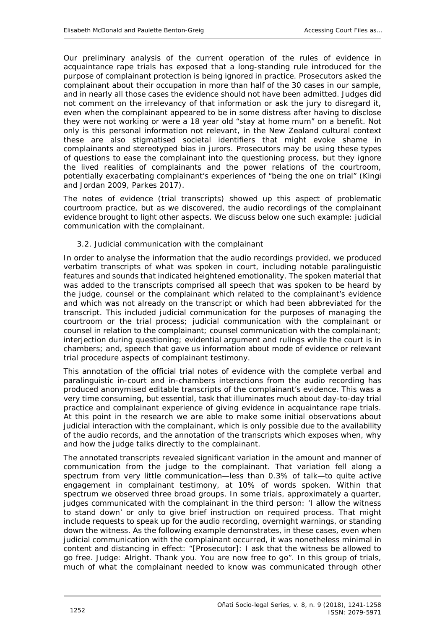Our preliminary analysis of the current operation of the rules of evidence in acquaintance rape trials has exposed that a long-standing rule introduced for the purpose of complainant protection is being ignored in practice. Prosecutors asked the complainant about their occupation in more than half of the 30 cases in our sample, and in nearly all those cases the evidence should not have been admitted. Judges did not comment on the irrelevancy of that information or ask the jury to disregard it, even when the complainant appeared to be in some distress after having to disclose they were not working or were a 18 year old "stay at home mum" on a benefit. Not only is this personal information not relevant, in the New Zealand cultural context these are also stigmatised societal identifiers that might evoke shame in complainants and stereotyped bias in jurors. Prosecutors may be using these types of questions to ease the complainant into the questioning process, but they ignore the lived realities of complainants and the power relations of the courtroom, potentially exacerbating complainant's experiences of "being the one on trial" (Kingi and Jordan 2009, Parkes 2017).

The notes of evidence (trial transcripts) showed up this aspect of problematic courtroom practice, but as we discovered, the audio recordings of the complainant evidence brought to light other aspects. We discuss below one such example: judicial communication with the complainant.

## <span id="page-11-0"></span>*3.2. Judicial communication with the complainant*

In order to analyse the information that the audio recordings provided, we produced verbatim transcripts of what was spoken in court, including notable paralinguistic features and sounds that indicated heightened emotionality. The spoken material that was added to the transcripts comprised all speech that was spoken to be heard by the judge, counsel or the complainant which related to the complainant's evidence and which was not already on the transcript or which had been abbreviated for the transcript. This included judicial communication for the purposes of managing the courtroom or the trial process; judicial communication with the complainant or counsel in relation to the complainant; counsel communication with the complainant; interjection during questioning; evidential argument and rulings while the court is in chambers; and, speech that gave us information about mode of evidence or relevant trial procedure aspects of complainant testimony.

This annotation of the official trial notes of evidence with the complete verbal and paralinguistic in-court and in-chambers interactions from the audio recording has produced anonymised editable transcripts of the complainant's evidence. This was a very time consuming, but essential, task that illuminates much about day-to-day trial practice and complainant experience of giving evidence in acquaintance rape trials. At this point in the research we are able to make some initial observations about judicial interaction with the complainant, which is only possible due to the availability of the audio records, and the annotation of the transcripts which exposes when, why and how the judge talks directly to the complainant.

The annotated transcripts revealed significant variation in the amount and manner of communication from the judge to the complainant. That variation fell along a spectrum from very little communication—less than 0.3% of talk—to quite active engagement in complainant testimony, at 10% of words spoken. Within that spectrum we observed three broad groups. In some trials, approximately a quarter, judges communicated with the complainant in the third person: 'I allow the witness to stand down' or only to give brief instruction on required process. That might include requests to speak up for the audio recording, overnight warnings, or standing down the witness. As the following example demonstrates, in these cases, even when judicial communication with the complainant occurred, it was nonetheless minimal in content and distancing in effect: "[Prosecutor]: I ask that the witness be allowed to go free. Judge: Alright. Thank you. You are now free to go". In this group of trials, much of what the complainant needed to know was communicated through other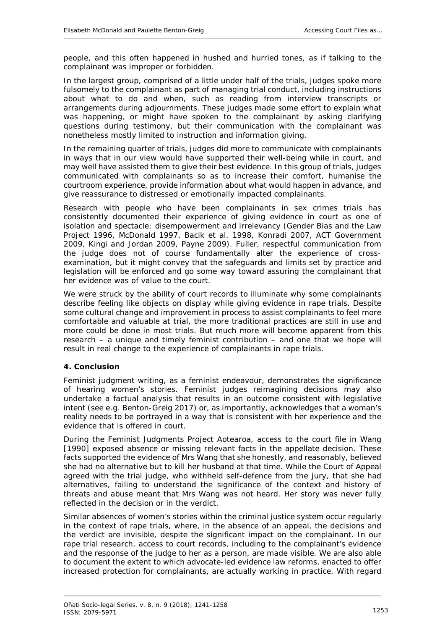people, and this often happened in hushed and hurried tones, as if talking to the complainant was improper or forbidden.

In the largest group, comprised of a little under half of the trials, judges spoke more fulsomely to the complainant as part of managing trial conduct, including instructions about what to do and when, such as reading from interview transcripts or arrangements during adjournments. These judges made some effort to explain what was happening, or might have spoken to the complainant by asking clarifying questions during testimony, but their communication with the complainant was nonetheless mostly limited to instruction and information giving.

In the remaining quarter of trials, judges did more to communicate with complainants in ways that in our view would have supported their well-being while in court, and may well have assisted them to give their best evidence. In this group of trials, judges communicated with complainants so as to increase their comfort, humanise the courtroom experience, provide information about what would happen in advance, and give reassurance to distressed or emotionally impacted complainants.

Research with people who have been complainants in sex crimes trials has consistently documented their experience of giving evidence in court as one of isolation and spectacle; disempowerment and irrelevancy (Gender Bias and the Law Project 1996, McDonald 1997, Bacik *et al.* 1998, Konradi 2007, ACT Government 2009, Kingi and Jordan 2009, Payne 2009). Fuller, respectful communication from the judge does not of course fundamentally alter the experience of crossexamination, but it might convey that the safeguards and limits set by practice and legislation will be enforced and go some way toward assuring the complainant that her evidence was of value to the court.

We were struck by the ability of court records to illuminate why some complainants describe feeling like objects on display while giving evidence in rape trials. Despite some cultural change and improvement in process to assist complainants to feel more comfortable and valuable at trial, the more traditional practices are still in use and more could be done in most trials. But much more will become apparent from this research – a unique and timely feminist contribution – and one that we hope will result in real change to the experience of complainants in rape trials.

## <span id="page-12-0"></span>**4. Conclusion**

Feminist judgment writing, as a feminist endeavour, demonstrates the significance of hearing women's stories. Feminist judges reimagining decisions may also undertake a factual analysis that results in an outcome consistent with legislative intent (see e.g. Benton-Greig 2017) or, as importantly, acknowledges that a woman's reality needs to be portrayed in a way that is consistent with her experience and the evidence that is offered in court.

During the Feminist Judgments Project Aotearoa, access to the court file in *Wang* [1990] exposed absence or missing relevant facts in the appellate decision. These facts supported the evidence of Mrs Wang that she honestly, and reasonably, believed she had no alternative but to kill her husband at that time. While the Court of Appeal agreed with the trial judge, who withheld self-defence from the jury, that she had alternatives, failing to understand the significance of the context and history of threats and abuse meant that Mrs Wang was not heard. Her story was never fully reflected in the decision or in the verdict.

Similar absences of women's stories within the criminal justice system occur regularly in the context of rape trials, where, in the absence of an appeal, the decisions and the verdict are invisible, despite the significant impact on the complainant. In our rape trial research, access to court records, including to the complainant's evidence and the response of the judge to her as a person, are made visible. We are also able to document the extent to which advocate-led evidence law reforms, enacted to offer increased protection for complainants, are actually working in practice. With regard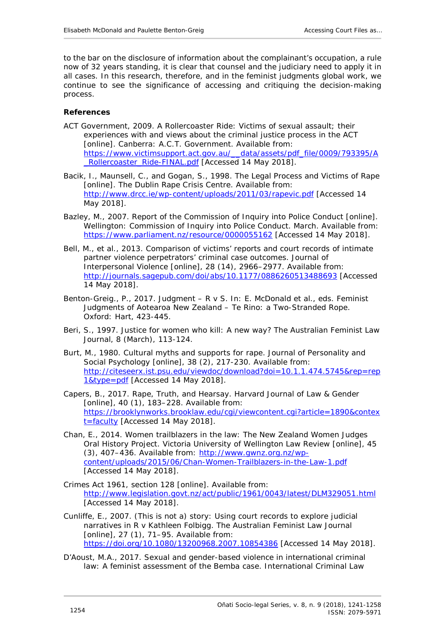to the bar on the disclosure of information about the complainant's occupation, a rule now of 32 years standing, it is clear that counsel and the judiciary need to apply it in all cases. In this research, therefore, and in the feminist judgments global work, we continue to see the significance of accessing and critiquing the decision-making process.

## <span id="page-13-0"></span>**References**

- ACT Government, 2009. *A Rollercoaster Ride: Victims of sexual assault; their experiences with and views about the criminal justice process in the ACT* [online]. Canberra: A.C.T. Government. Available from: [https://www.victimsupport.act.gov.au/\\_\\_data/assets/pdf\\_file/0009/793395/A](https://www.victimsupport.act.gov.au/__data/assets/pdf_file/0009/793395/A_Rollercoaster_Ride-FINAL.pdf) [\\_Rollercoaster\\_Ride-FINAL.pdf](https://www.victimsupport.act.gov.au/__data/assets/pdf_file/0009/793395/A_Rollercoaster_Ride-FINAL.pdf) [Accessed 14 May 2018].
- Bacik, I., Maunsell, C., and Gogan, S., 1998. *The Legal Process and Victims of Rape* [online]. The Dublin Rape Crisis Centre. Available from: <http://www.drcc.ie/wp-content/uploads/2011/03/rapevic.pdf> [Accessed 14 May 2018].
- Bazley, M., 2007. *Report of the Commission of Inquiry into Police Conduct* [online]. Wellington: Commission of Inquiry into Police Conduct. March. Available from: <https://www.parliament.nz/resource/0000055162> [Accessed 14 May 2018].
- Bell, M., *et al*., 2013. Comparison of victims' reports and court records of intimate partner violence perpetrators' criminal case outcomes. *Journal of Interpersonal Violence* [online], 28 (14), 2966–2977. Available from: <http://journals.sagepub.com/doi/abs/10.1177/0886260513488693> [Accessed 14 May 2018].
- Benton-Greig., P., 2017. Judgment R v S. *In*: E. McDonald *et al.*, eds. *Feminist Judgments of Aotearoa New Zealand – Te Rino: a Two-Stranded Rope*. Oxford: Hart, 423-445.
- Beri, S., 1997. Justice for women who kill: A new way? *The Australian Feminist Law Journal*, 8 (March), 113-124.
- Burt, M., 1980. Cultural myths and supports for rape. *Journal of Personality and Social Psychology* [online], 38 (2), 217-230. Available from: [http://citeseerx.ist.psu.edu/viewdoc/download?doi=10.1.1.474.5745&rep=rep](http://citeseerx.ist.psu.edu/viewdoc/download?doi=10.1.1.474.5745&rep=rep1&type=pdf) [1&type=pdf](http://citeseerx.ist.psu.edu/viewdoc/download?doi=10.1.1.474.5745&rep=rep1&type=pdf) [Accessed 14 May 2018].
- Capers, B., 2017. Rape, Truth, and Hearsay. *Harvard Journal of Law & Gender* [online], 40 (1), 183-228. Available from: [https://brooklynworks.brooklaw.edu/cgi/viewcontent.cgi?article=1890&contex](https://brooklynworks.brooklaw.edu/cgi/viewcontent.cgi?article=1890&context=faculty) [t=faculty](https://brooklynworks.brooklaw.edu/cgi/viewcontent.cgi?article=1890&context=faculty) [Accessed 14 May 2018].
- Chan, E., 2014. Women trailblazers in the law: The New Zealand Women Judges Oral History Project. *Victoria University of Wellington Law Review* [online], 45 (3), 407–436. Available from: [http://www.gwnz.org.nz/wp](http://www.gwnz.org.nz/wp-content/uploads/2015/06/Chan-Women-Trailblazers-in-the-Law-1.pdf)[content/uploads/2015/06/Chan-Women-Trailblazers-in-the-Law-1.pdf](http://www.gwnz.org.nz/wp-content/uploads/2015/06/Chan-Women-Trailblazers-in-the-Law-1.pdf) [Accessed 14 May 2018].
- Crimes Act 1961, section 128 [online]. Available from: <http://www.legislation.govt.nz/act/public/1961/0043/latest/DLM329051.html> [Accessed 14 May 2018].
- Cunliffe, E., 2007. (This is not a) story: Using court records to explore judicial narratives in R v Kathleen Folbigg. *The Australian Feminist Law Journal* [online], 27 (1), 71-95. Available from: <https://doi.org/10.1080/13200968.2007.10854386> [Accessed 14 May 2018].
- D'Aoust, M.A., 2017. Sexual and gender-based violence in international criminal law: A feminist assessment of the Bemba case. *International Criminal Law*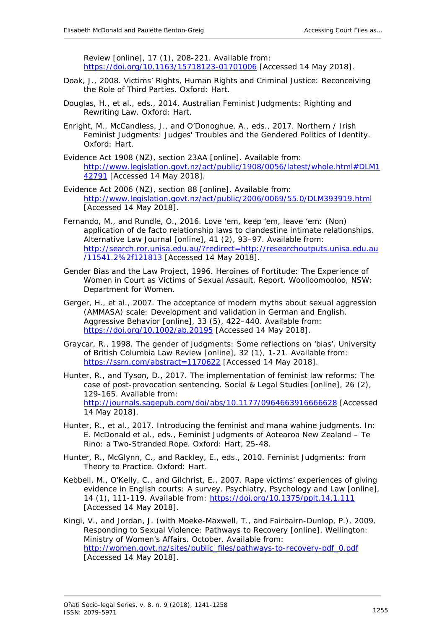*Review* [online], 17 (1), 208-221. Available from: <https://doi.org/10.1163/15718123-01701006> [Accessed 14 May 2018].

- Doak, J., 2008*. Victims' Rights, Human Rights and Criminal Justice: Reconceiving the Role of Third Parties*. Oxford: Hart.
- Douglas, H., *et al*., eds., 2014. *Australian Feminist Judgments: Righting and Rewriting Law.* Oxford: Hart.
- Enright, M., McCandless, J., and O'Donoghue, A., eds., 2017. *Northern / Irish Feminist Judgments: Judges' Troubles and the Gendered Politics of Identity.* Oxford: Hart.
- Evidence Act 1908 (NZ), section 23AA [online]. Available from: [http://www.legislation.govt.nz/act/public/1908/0056/latest/whole.html#DLM1](http://www.legislation.govt.nz/act/public/1908/0056/latest/whole.html#DLM142791) [42791](http://www.legislation.govt.nz/act/public/1908/0056/latest/whole.html#DLM142791) [Accessed 14 May 2018].
- Evidence Act 2006 (NZ), section 88 [online]. Available from: <http://www.legislation.govt.nz/act/public/2006/0069/55.0/DLM393919.html> [Accessed 14 May 2018].
- Fernando, M., and Rundle, O., 2016. Love 'em, keep 'em, leave 'em: (Non) application of de facto relationship laws to clandestine intimate relationships. *Alternative Law Journal* [online], 41 (2), 93–97. Available from: [http://search.ror.unisa.edu.au/?redirect=http://researchoutputs.unisa.edu.au](http://search.ror.unisa.edu.au/?redirect=http://researchoutputs.unisa.edu.au/11541.2%2f121813) [/11541.2%2f121813](http://search.ror.unisa.edu.au/?redirect=http://researchoutputs.unisa.edu.au/11541.2%2f121813) [Accessed 14 May 2018].
- Gender Bias and the Law Project, 1996. *Heroines of Fortitude: The Experience of Women in Court as Victims of Sexual Assault.* Report. Woolloomooloo, NSW: Department for Women.
- Gerger, H., *et al*., 2007. The acceptance of modern myths about sexual aggression (AMMASA) scale: Development and validation in German and English. *Aggressive Behavior* [online], 33 (5), 422–440. Available from: <https://doi.org/10.1002/ab.20195> [Accessed 14 May 2018].
- Graycar, R., 1998. The gender of judgments: Some reflections on 'bias'. *University of British Columbia Law Review* [online], 32 (1), 1-21. Available from: <https://ssrn.com/abstract=1170622> [Accessed 14 May 2018].
- Hunter, R., and Tyson, D., 2017. The implementation of feminist law reforms: The case of post-provocation sentencing. *Social & Legal Studies* [online], 26 (2), 129-165. Available from: <http://journals.sagepub.com/doi/abs/10.1177/0964663916666628> [Accessed 14 May 2018].
- Hunter, R., *et al*., 2017. Introducing the feminist and mana wahine judgments. *In*: E. McDonald *et al.,* eds., *Feminist Judgments of Aotearoa New Zealand – Te Rino: a Two-Stranded Rope*. Oxford: Hart, 25-48.
- Hunter, R., McGlynn, C., and Rackley, E., eds., 2010. *Feminist Judgments: from Theory to Practice*. Oxford: Hart.
- Kebbell, M., O'Kelly, C., and Gilchrist, E., 2007. Rape victims' experiences of giving evidence in English courts: A survey. *Psychiatry, Psychology and Law* [online], 14 (1), 111-119. Available from:<https://doi.org/10.1375/pplt.14.1.111> [Accessed 14 May 2018].
- Kingi, V., and Jordan, J. (with Moeke-Maxwell, T., and Fairbairn-Dunlop, P.), 2009. *Responding to Sexual Violence: Pathways to Recovery* [online]. Wellington: Ministry of Women's Affairs. October. Available from: [http://women.govt.nz/sites/public\\_files/pathways-to-recovery-pdf\\_0.pdf](http://women.govt.nz/sites/public_files/pathways-to-recovery-pdf_0.pdf) [Accessed 14 May 2018].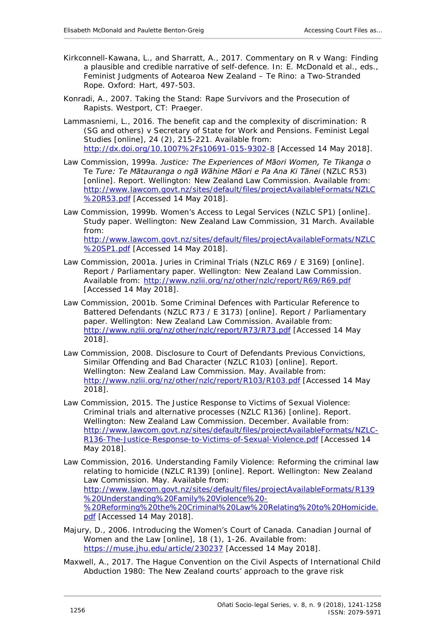- Kirkconnell-Kawana, L., and Sharratt, A., 2017. Commentary on *R v Wang*: Finding a plausible and credible narrative of self-defence. *In*: E. McDonald *et al.,* eds., *Feminist Judgments of Aotearoa New Zealand – Te Rino: a Two-Stranded Rope.* Oxford: Hart, 497-503.
- Konradi, A., 2007. *Taking the Stand: Rape Survivors and the Prosecution of Rapists.* Westport, CT: Praeger.
- Lammasniemi, L., 2016. The benefit cap and the complexity of discrimination: R (SG and others) v Secretary of State for Work and Pensions. *Feminist Legal Studies* [online], 24 (2), 215-221. Available from: <http://dx.doi.org/10.1007%2Fs10691-015-9302-8> [Accessed 14 May 2018].
- Law Commission, 1999a. *Justice: The Experiences of Māori Women, Te Tikanga o Te Ture: Te Mātauranga o ngā Wāhine Māori e Pa Ana Ki Tānei* (NZLC R53) [online]. Report. Wellington: New Zealand Law Commission. Available from: [http://www.lawcom.govt.nz/sites/default/files/projectAvailableFormats/NZLC](http://www.lawcom.govt.nz/sites/default/files/projectAvailableFormats/NZLC%20R53.pdf) [%20R53.pdf](http://www.lawcom.govt.nz/sites/default/files/projectAvailableFormats/NZLC%20R53.pdf) [Accessed 14 May 2018].
- Law Commission, 1999b. *Women's Access to Legal Services* (NZLC SP1) [online]. Study paper. Wellington: New Zealand Law Commission, 31 March. Available from: [http://www.lawcom.govt.nz/sites/default/files/projectAvailableFormats/NZLC](http://www.lawcom.govt.nz/sites/default/files/projectAvailableFormats/NZLC%20SP1.pdf) [%20SP1.pdf](http://www.lawcom.govt.nz/sites/default/files/projectAvailableFormats/NZLC%20SP1.pdf) [Accessed 14 May 2018].
- Law Commission, 2001a. *Juries in Criminal Trials* (NZLC R69 / E 3169) [online]. Report / Parliamentary paper. Wellington: New Zealand Law Commission. Available from:<http://www.nzlii.org/nz/other/nzlc/report/R69/R69.pdf> [Accessed 14 May 2018].
- Law Commission, 2001b. *Some Criminal Defences with Particular Reference to Battered Defendants* (NZLC R73 / E 3173) [online]. Report / Parliamentary paper. Wellington: New Zealand Law Commission. Available from: <http://www.nzlii.org/nz/other/nzlc/report/R73/R73.pdf> [Accessed 14 May 2018].
- Law Commission, 2008. *Disclosure to Court of Defendants Previous Convictions, Similar Offending and Bad Character* (NZLC R103) [online]. Report. Wellington: New Zealand Law Commission. May. Available from: <http://www.nzlii.org/nz/other/nzlc/report/R103/R103.pdf> [Accessed 14 May 2018].
- Law Commission, 2015. *The Justice Response to Victims of Sexual Violence: Criminal trials and alternative processes* (NZLC R136) [online]. Report. Wellington: New Zealand Law Commission. December. Available from: [http://www.lawcom.govt.nz/sites/default/files/projectAvailableFormats/NZLC-](http://www.lawcom.govt.nz/sites/default/files/projectAvailableFormats/NZLC-R136-The-Justice-Response-to-Victims-of-Sexual-Violence.pdf)[R136-The-Justice-Response-to-Victims-of-Sexual-Violence.pdf](http://www.lawcom.govt.nz/sites/default/files/projectAvailableFormats/NZLC-R136-The-Justice-Response-to-Victims-of-Sexual-Violence.pdf) [Accessed 14 May 2018].
- Law Commission, 2016. *Understanding Family Violence: Reforming the criminal law relating to homicide* (NZLC R139) [online]. Report. Wellington: New Zealand Law Commission. May. Available from: [http://www.lawcom.govt.nz/sites/default/files/projectAvailableFormats/R139](http://www.lawcom.govt.nz/sites/default/files/projectAvailableFormats/R139%20Understanding%20Family%20Violence%20-%20Reforming%20the%20Criminal%20Law%20Relating%20to%20Homicide.pdf) [%20Understanding%20Family%20Violence%20-](http://www.lawcom.govt.nz/sites/default/files/projectAvailableFormats/R139%20Understanding%20Family%20Violence%20-%20Reforming%20the%20Criminal%20Law%20Relating%20to%20Homicide.pdf) [%20Reforming%20the%20Criminal%20Law%20Relating%20to%20Homicide.](http://www.lawcom.govt.nz/sites/default/files/projectAvailableFormats/R139%20Understanding%20Family%20Violence%20-%20Reforming%20the%20Criminal%20Law%20Relating%20to%20Homicide.pdf) [pdf](http://www.lawcom.govt.nz/sites/default/files/projectAvailableFormats/R139%20Understanding%20Family%20Violence%20-%20Reforming%20the%20Criminal%20Law%20Relating%20to%20Homicide.pdf) [Accessed 14 May 2018].
- Majury, D., 2006. Introducing the Women's Court of Canada. *Canadian Journal of Women and the Law* [online], 18 (1), 1-26. Available from: <https://muse.jhu.edu/article/230237> [Accessed 14 May 2018].
- Maxwell, A., 2017. The Hague Convention on the Civil Aspects of International Child Abduction 1980: The New Zealand courts' approach to the grave risk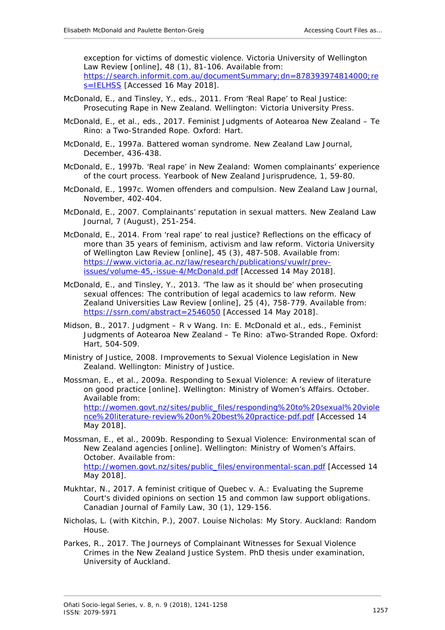exception for victims of domestic violence. *Victoria University of Wellington Law Review* [online], 48 (1), 81-106. Available from: [https://search.informit.com.au/documentSummary;dn=878393974814000;re](https://search.informit.com.au/documentSummary;dn=878393974814000;res=IELHSS) [s=IELHSS](https://search.informit.com.au/documentSummary;dn=878393974814000;res=IELHSS) [Accessed 16 May 2018].

- McDonald, E., and Tinsley, Y., eds., 2011. *From 'Real Rape' to Real Justice: Prosecuting Rape in New Zealand*. Wellington: Victoria University Press.
- McDonald, E., *et al*., eds., 2017. *Feminist Judgments of Aotearoa New Zealand – Te Rino: a Two-Stranded Rope.* Oxford: Hart.
- McDonald, E., 1997a. Battered woman syndrome. *New Zealand Law Journal*, December, 436-438.
- McDonald, E., 1997b. 'Real rape' in New Zealand: Women complainants' experience of the court process. *Yearbook of New Zealand Jurisprudence*, 1, 59-80.
- McDonald, E., 1997c. Women offenders and compulsion. *New Zealand Law Journal*, November, 402-404.
- McDonald, E., 2007. Complainants' reputation in sexual matters. *New Zealand Law Journal*, 7 (August), 251-254.
- McDonald, E., 2014. From 'real rape' to real justice? Reflections on the efficacy of more than 35 years of feminism, activism and law reform. *Victoria University of Wellington Law Review* [online], 45 (3), 487-508. Available from: [https://www.victoria.ac.nz/law/research/publications/vuwlr/prev](https://www.victoria.ac.nz/law/research/publications/vuwlr/prev-issues/volume-45,-issue-4/McDonald.pdf)[issues/volume-45,-issue-4/McDonald.pdf](https://www.victoria.ac.nz/law/research/publications/vuwlr/prev-issues/volume-45,-issue-4/McDonald.pdf) [Accessed 14 May 2018].
- McDonald, E., and Tinsley, Y., 2013. 'The law as it should be' when prosecuting sexual offences: The contribution of legal academics to law reform*. New Zealand Universities Law Review* [online], 25 (4), 758-779. Available from: <https://ssrn.com/abstract=2546050> [Accessed 14 May 2018].
- Midson, B., 2017. Judgment R v Wang. *In*: E. McDonald *et al.*, eds., *Feminist Judgments of Aotearoa New Zealand – Te Rino: aTwo-Stranded Rope.* Oxford: Hart, 504-509.
- Ministry of Justice, 2008. *Improvements to Sexual Violence Legislation in New Zealand.* Wellington: Ministry of Justice.
- Mossman, E., *et al.*, 2009a. *Responding to Sexual Violence: A review of literature on good practice* [online]. Wellington: Ministry of Women's Affairs. October. Available from: [http://women.govt.nz/sites/public\\_files/responding%20to%20sexual%20viole](http://women.govt.nz/sites/public_files/responding%20to%20sexual%20violence%20literature-review%20on%20best%20practice-pdf.pdf) [nce%20literature-review%20on%20best%20practice-pdf.pdf](http://women.govt.nz/sites/public_files/responding%20to%20sexual%20violence%20literature-review%20on%20best%20practice-pdf.pdf) [Accessed 14 May 2018].
- Mossman, E., *et al*., 2009b. *Responding to Sexual Violence: Environmental scan of New Zealand agencies* [online]. Wellington: Ministry of Women's Affairs. October. Available from: [http://women.govt.nz/sites/public\\_files/environmental-scan.pdf](http://women.govt.nz/sites/public_files/environmental-scan.pdf) [Accessed 14 May 2018].
- Mukhtar, N., 2017. A feminist critique of *Quebec v. A.*: Evaluating the Supreme Court's divided opinions on section 15 and common law support obligations. *Canadian Journal of Family Law*, 30 (1), 129-156.
- Nicholas, L. (with Kitchin, P.), 2007. *Louise Nicholas: My Story*. Auckland: Random House.
- Parkes, R., 2017. *The Journeys of Complainant Witnesses for Sexual Violence Crimes in the New Zealand Justice System.* PhD thesis under examination, University of Auckland.